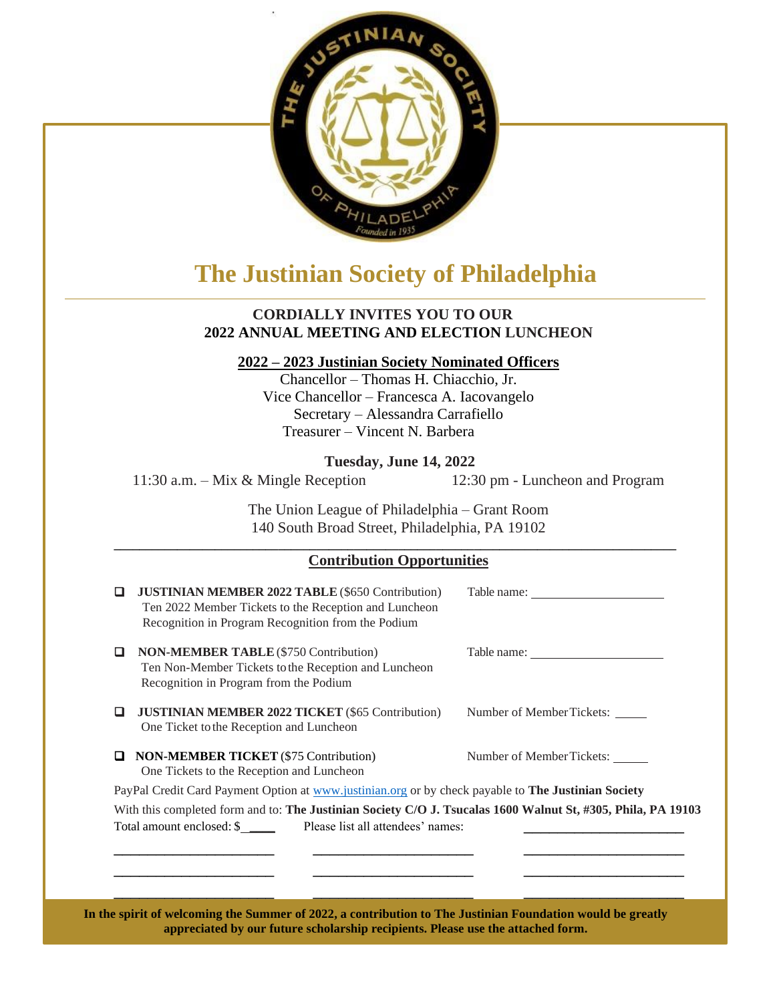

## **The Justinian Society of Philadelphia**

## **CORDIALLY INVITES YOU TO OUR 2022 ANNUAL MEETING AND ELECTION LUNCHEON**

## **2022 – 2023 Justinian Society Nominated Officers**

Chancellor – Thomas H. Chiacchio, Jr. Vice Chancellor – Francesca A. Iacovangelo Secretary – Alessandra Carrafiello Treasurer – Vincent N. Barbera

**Tuesday, June 14, 2022**

11:30 a.m. – Mix & Mingle Reception 12:30 pm - Luncheon and Program

The Union League of Philadelphia – Grant Room 140 South Broad Street, Philadelphia, PA 19102

## **\_\_\_\_\_\_\_\_\_\_\_\_\_\_\_\_\_\_\_\_\_\_\_\_\_\_\_\_\_\_\_\_\_\_\_\_\_\_\_\_\_\_\_\_\_\_\_\_\_\_\_\_\_\_\_\_\_\_\_\_\_\_\_\_\_\_\_\_\_\_\_\_\_\_\_\_\_\_\_\_\_\_\_\_\_\_\_\_\_ Contribution Opportunities**

|                                                                                                              | <b>JUSTINIAN MEMBER 2022 TABLE (\$650 Contribution)</b><br>Ten 2022 Member Tickets to the Reception and Luncheon<br>Recognition in Program Recognition from the Podium |                           |
|--------------------------------------------------------------------------------------------------------------|------------------------------------------------------------------------------------------------------------------------------------------------------------------------|---------------------------|
|                                                                                                              | <b>NON-MEMBER TABLE</b> (\$750 Contribution)<br>Ten Non-Member Tickets to the Reception and Luncheon<br>Recognition in Program from the Podium                         |                           |
| ப                                                                                                            | <b>JUSTINIAN MEMBER 2022 TICKET (\$65 Contribution)</b><br>One Ticket to the Reception and Luncheon                                                                    | Number of Member Tickets: |
|                                                                                                              | <b>NON-MEMBER TICKET</b> (\$75 Contribution)<br>One Tickets to the Reception and Luncheon                                                                              | Number of Member Tickets: |
| PayPal Credit Card Payment Option at www.justinian.org or by check payable to The Justinian Society          |                                                                                                                                                                        |                           |
| With this completed form and to: The Justinian Society C/O J. Tsucalas 1600 Walnut St, #305, Phila, PA 19103 |                                                                                                                                                                        |                           |
| Total amount enclosed: \$ _____ Please list all attendees' names:                                            |                                                                                                                                                                        |                           |
|                                                                                                              |                                                                                                                                                                        |                           |
|                                                                                                              |                                                                                                                                                                        |                           |
|                                                                                                              |                                                                                                                                                                        |                           |
|                                                                                                              |                                                                                                                                                                        |                           |

**In the spirit of welcoming the Summer of 2022, a contribution to The Justinian Foundation would be greatly appreciated by our future scholarship recipients. Please use the attached form.**